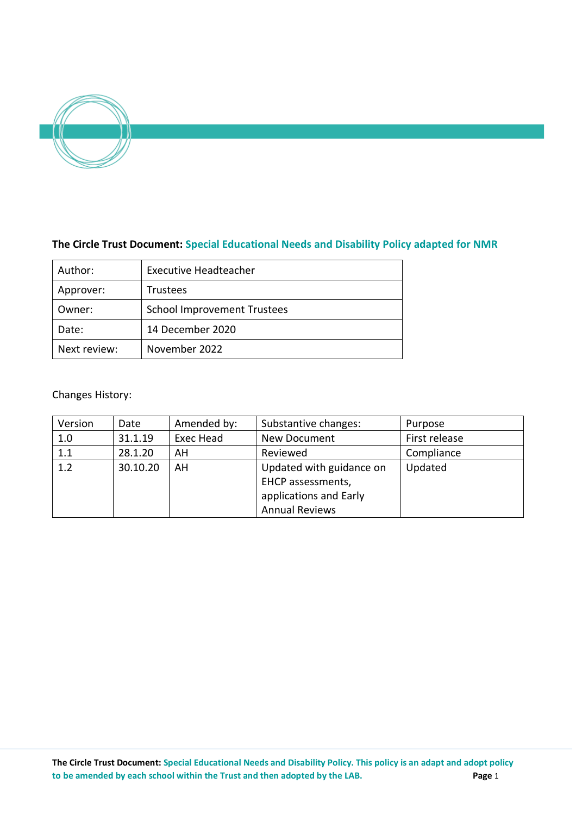

# **The Circle Trust Document: Special Educational Needs and Disability Policy adapted for NMR**

| Author:      | <b>Executive Headteacher</b>       |  |
|--------------|------------------------------------|--|
| Approver:    | Trustees                           |  |
| Owner:       | <b>School Improvement Trustees</b> |  |
| Date:        | 14 December 2020                   |  |
| Next review: | November 2022                      |  |

# Changes History:

| Version | Date     | Amended by: | Substantive changes:     | Purpose       |
|---------|----------|-------------|--------------------------|---------------|
| 1.0     | 31.1.19  | Exec Head   | New Document             | First release |
| 1.1     | 28.1.20  | AH          | Reviewed                 | Compliance    |
| 1.2     | 30.10.20 | AH          | Updated with guidance on | Updated       |
|         |          |             | EHCP assessments,        |               |
|         |          |             | applications and Early   |               |
|         |          |             | <b>Annual Reviews</b>    |               |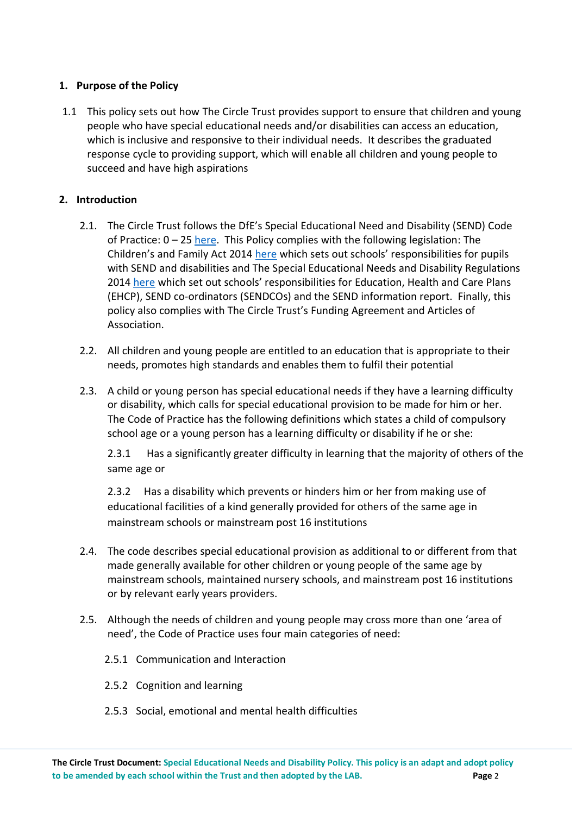# **1. Purpose of the Policy**

1.1 This policy sets out how The Circle Trust provides support to ensure that children and young people who have special educational needs and/or disabilities can access an education, which is inclusive and responsive to their individual needs. It describes the graduated response cycle to providing support, which will enable all children and young people to succeed and have high aspirations

# **2. Introduction**

- 2.1. The Circle Trust follows the DfE's Special Educational Need and Disability (SEND) Code of Practice: 0 – 25 [here.](https://www.gov.uk/government/publications/send-code-of-practice-0-to-25) This Policy complies with the following legislation: The Children's and Family Act 2014 [here](http://www.legislation.gov.uk/ukpga/2014/6/part/3) which sets out schools' responsibilities for pupils with SEND and disabilities and The Special Educational Needs and Disability Regulations 2014 [here](http://www.legislation.gov.uk/uksi/2014/1530/contents/made) which set out schools' responsibilities for Education, Health and Care Plans (EHCP), SEND co-ordinators (SENDCOs) and the SEND information report. Finally, this policy also complies with The Circle Trust's Funding Agreement and Articles of Association.
- 2.2. All children and young people are entitled to an education that is appropriate to their needs, promotes high standards and enables them to fulfil their potential
- 2.3. A child or young person has special educational needs if they have a learning difficulty or disability, which calls for special educational provision to be made for him or her. The Code of Practice has the following definitions which states a child of compulsory school age or a young person has a learning difficulty or disability if he or she:

2.3.1 Has a significantly greater difficulty in learning that the majority of others of the same age or

2.3.2 Has a disability which prevents or hinders him or her from making use of educational facilities of a kind generally provided for others of the same age in mainstream schools or mainstream post 16 institutions

- 2.4. The code describes special educational provision as additional to or different from that made generally available for other children or young people of the same age by mainstream schools, maintained nursery schools, and mainstream post 16 institutions or by relevant early years providers.
- 2.5. Although the needs of children and young people may cross more than one 'area of need', the Code of Practice uses four main categories of need:
	- 2.5.1 Communication and Interaction
	- 2.5.2 Cognition and learning
	- 2.5.3 Social, emotional and mental health difficulties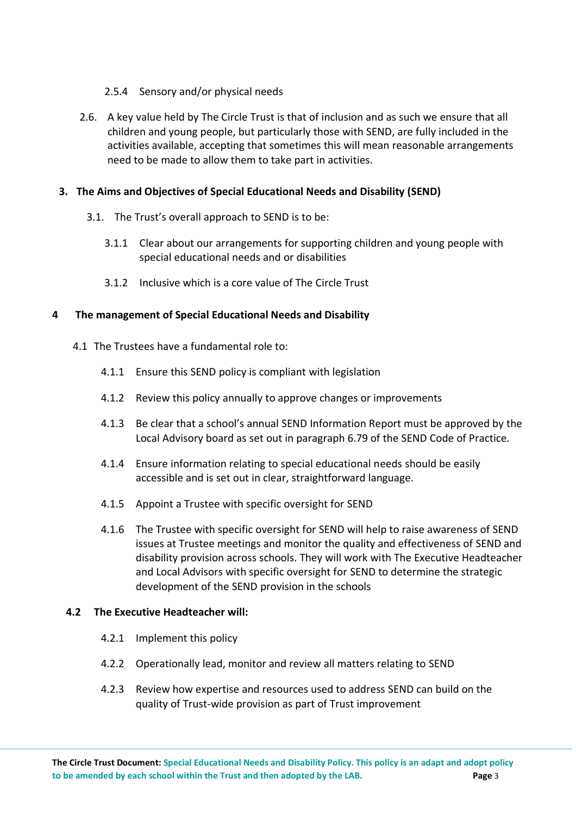### 2.5.4 Sensory and/or physical needs

2.6. A key value held by The Circle Trust is that of inclusion and as such we ensure that all children and young people, but particularly those with SEND, are fully included in the activities available, accepting that sometimes this will mean reasonable arrangements need to be made to allow them to take part in activities.

### **3. The Aims and Objectives of Special Educational Needs and Disability (SEND)**

- 3.1. The Trust's overall approach to SEND is to be:
	- 3.1.1 Clear about our arrangements for supporting children and young people with special educational needs and or disabilities
	- 3.1.2 Inclusive which is a core value of The Circle Trust

### **4 The management of Special Educational Needs and Disability**

- 4.1 The Trustees have a fundamental role to:
	- 4.1.1 Ensure this SEND policy is compliant with legislation
	- 4.1.2 Review this policy annually to approve changes or improvements
	- 4.1.3 Be clear that a school's annual SEND Information Report must be approved by the Local Advisory board as set out in paragraph 6.79 of the SEND Code of Practice.
	- 4.1.4 Ensure information relating to special educational needs should be easily accessible and is set out in clear, straightforward language.
	- 4.1.5 Appoint a Trustee with specific oversight for SEND
	- 4.1.6 The Trustee with specific oversight for SEND will help to raise awareness of SEND issues at Trustee meetings and monitor the quality and effectiveness of SEND and disability provision across schools. They will work with The Executive Headteacher and Local Advisors with specific oversight for SEND to determine the strategic development of the SEND provision in the schools

#### **4.2 The Executive Headteacher will:**

- 4.2.1 Implement this policy
- 4.2.2 Operationally lead, monitor and review all matters relating to SEND
- 4.2.3 Review how expertise and resources used to address SEND can build on the quality of Trust-wide provision as part of Trust improvement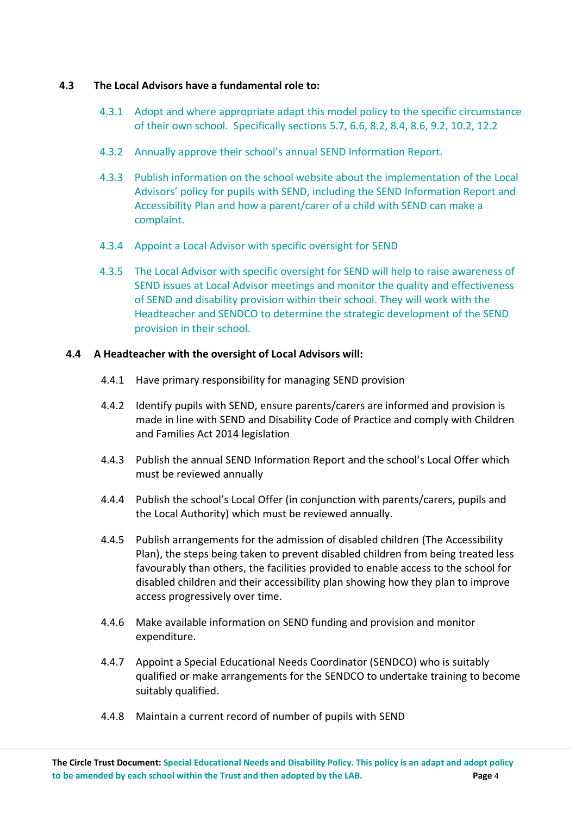### **4.3 The Local Advisors have a fundamental role to:**

- 4.3.1 Adopt and where appropriate adapt this model policy to the specific circumstance of their own school. Specifically sections 5.7, 6.6, 8.2, 8.4, 8.6, 9.2, 10.2, 12.2
- 4.3.2 Annually approve their school's annual SEND Information Report.
- 4.3.3 Publish information on the school website about the implementation of the Local Advisors' policy for pupils with SEND, including the SEND Information Report and Accessibility Plan and how a parent/carer of a child with SEND can make a complaint.
- 4.3.4 Appoint a Local Advisor with specific oversight for SEND
- 4.3.5 The Local Advisor with specific oversight for SEND will help to raise awareness of SEND issues at Local Advisor meetings and monitor the quality and effectiveness of SEND and disability provision within their school. They will work with the Headteacher and SENDCO to determine the strategic development of the SEND provision in their school.

### **4.4 A Headteacher with the oversight of Local Advisors will:**

- 4.4.1 Have primary responsibility for managing SEND provision
- 4.4.2 Identify pupils with SEND, ensure parents/carers are informed and provision is made in line with SEND and Disability Code of Practice and comply with Children and Families Act 2014 legislation
- 4.4.3 Publish the annual SEND Information Report and the school's Local Offer which must be reviewed annually
- 4.4.4 Publish the school's Local Offer (in conjunction with parents/carers, pupils and the Local Authority) which must be reviewed annually.
- 4.4.5 Publish arrangements for the admission of disabled children (The Accessibility Plan), the steps being taken to prevent disabled children from being treated less favourably than others, the facilities provided to enable access to the school for disabled children and their accessibility plan showing how they plan to improve access progressively over time.
- 4.4.6 Make available information on SEND funding and provision and monitor expenditure.
- 4.4.7 Appoint a Special Educational Needs Coordinator (SENDCO) who is suitably qualified or make arrangements for the SENDCO to undertake training to become suitably qualified.
- 4.4.8 Maintain a current record of number of pupils with SEND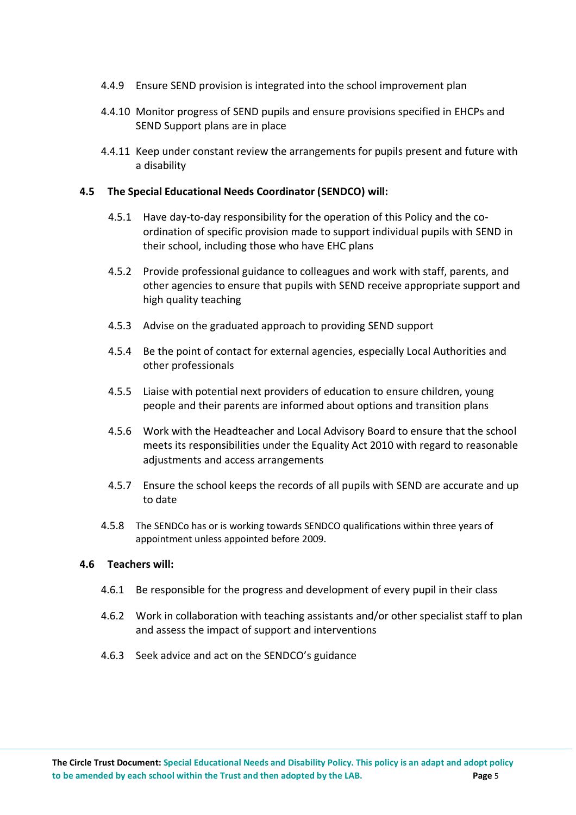- 4.4.9 Ensure SEND provision is integrated into the school improvement plan
- 4.4.10 Monitor progress of SEND pupils and ensure provisions specified in EHCPs and SEND Support plans are in place
- 4.4.11 Keep under constant review the arrangements for pupils present and future with a disability

### **4.5 The Special Educational Needs Coordinator (SENDCO) will:**

- 4.5.1 Have day-to-day responsibility for the operation of this Policy and the coordination of specific provision made to support individual pupils with SEND in their school, including those who have EHC plans
- 4.5.2 Provide professional guidance to colleagues and work with staff, parents, and other agencies to ensure that pupils with SEND receive appropriate support and high quality teaching
- 4.5.3 Advise on the graduated approach to providing SEND support
- 4.5.4 Be the point of contact for external agencies, especially Local Authorities and other professionals
- 4.5.5 Liaise with potential next providers of education to ensure children, young people and their parents are informed about options and transition plans
- 4.5.6 Work with the Headteacher and Local Advisory Board to ensure that the school meets its responsibilities under the Equality Act 2010 with regard to reasonable adjustments and access arrangements
- 4.5.7 Ensure the school keeps the records of all pupils with SEND are accurate and up to date
- 4.5.8 The SENDCo has or is working towards SENDCO qualifications within three years of appointment unless appointed before 2009.

#### **4.6 Teachers will:**

- 4.6.1 Be responsible for the progress and development of every pupil in their class
- 4.6.2 Work in collaboration with teaching assistants and/or other specialist staff to plan and assess the impact of support and interventions
- 4.6.3 Seek advice and act on the SENDCO's guidance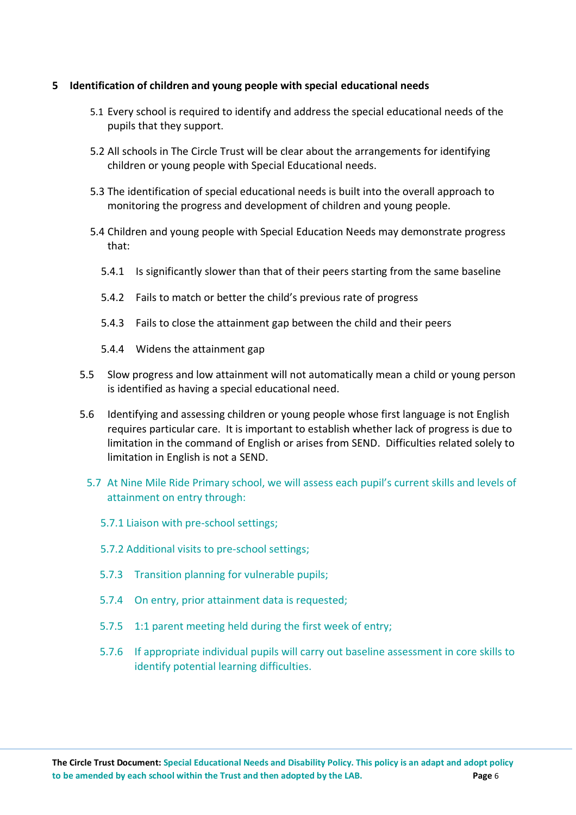### **5 Identification of children and young people with special educational needs**

- 5.1 Every school is required to identify and address the special educational needs of the pupils that they support.
- 5.2 All schools in The Circle Trust will be clear about the arrangements for identifying children or young people with Special Educational needs.
- 5.3 The identification of special educational needs is built into the overall approach to monitoring the progress and development of children and young people.
- 5.4 Children and young people with Special Education Needs may demonstrate progress that:
	- 5.4.1 Is significantly slower than that of their peers starting from the same baseline
	- 5.4.2 Fails to match or better the child's previous rate of progress
	- 5.4.3 Fails to close the attainment gap between the child and their peers
	- 5.4.4 Widens the attainment gap
- 5.5 Slow progress and low attainment will not automatically mean a child or young person is identified as having a special educational need.
- 5.6 Identifying and assessing children or young people whose first language is not English requires particular care. It is important to establish whether lack of progress is due to limitation in the command of English or arises from SEND. Difficulties related solely to limitation in English is not a SEND.
	- 5.7 At Nine Mile Ride Primary school, we will assess each pupil's current skills and levels of attainment on entry through:
		- 5.7.1 Liaison with pre-school settings;
		- 5.7.2 Additional visits to pre-school settings;
		- 5.7.3 Transition planning for vulnerable pupils;
		- 5.7.4 On entry, prior attainment data is requested;
		- 5.7.5 1:1 parent meeting held during the first week of entry;
		- 5.7.6 If appropriate individual pupils will carry out baseline assessment in core skills to identify potential learning difficulties.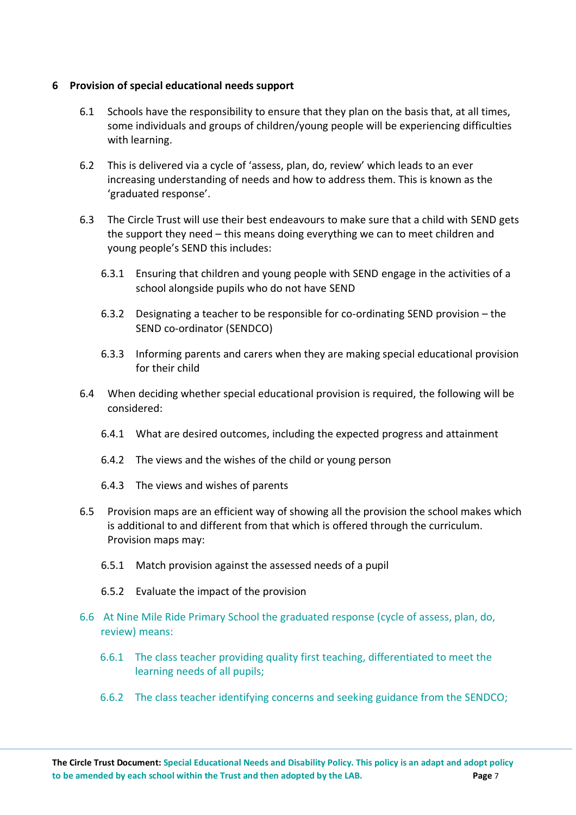### **6 Provision of special educational needs support**

- 6.1 Schools have the responsibility to ensure that they plan on the basis that, at all times, some individuals and groups of children/young people will be experiencing difficulties with learning.
- 6.2 This is delivered via a cycle of 'assess, plan, do, review' which leads to an ever increasing understanding of needs and how to address them. This is known as the 'graduated response'.
- 6.3 The Circle Trust will use their best endeavours to make sure that a child with SEND gets the support they need – this means doing everything we can to meet children and young people's SEND this includes:
	- 6.3.1 Ensuring that children and young people with SEND engage in the activities of a school alongside pupils who do not have SEND
	- 6.3.2 Designating a teacher to be responsible for co-ordinating SEND provision the SEND co-ordinator (SENDCO)
	- 6.3.3 Informing parents and carers when they are making special educational provision for their child
- 6.4 When deciding whether special educational provision is required, the following will be considered:
	- 6.4.1 What are desired outcomes, including the expected progress and attainment
	- 6.4.2 The views and the wishes of the child or young person
	- 6.4.3 The views and wishes of parents
- 6.5 Provision maps are an efficient way of showing all the provision the school makes which is additional to and different from that which is offered through the curriculum. Provision maps may:
	- 6.5.1 Match provision against the assessed needs of a pupil
	- 6.5.2 Evaluate the impact of the provision
- 6.6 At Nine Mile Ride Primary School the graduated response (cycle of assess, plan, do, review) means:
	- 6.6.1 The class teacher providing quality first teaching, differentiated to meet the learning needs of all pupils;
	- 6.6.2 The class teacher identifying concerns and seeking guidance from the SENDCO;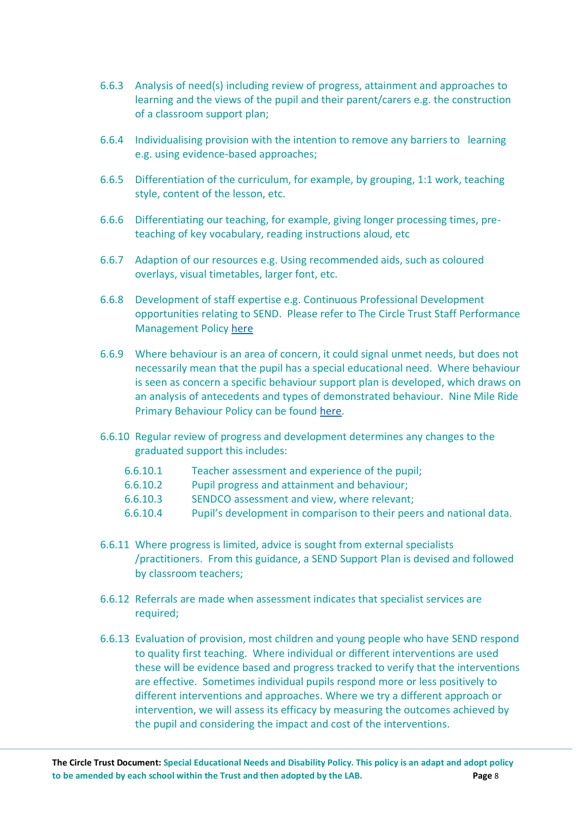- 6.6.3 Analysis of need(s) including review of progress, attainment and approaches to learning and the views of the pupil and their parent/carers e.g. the construction of a classroom support plan;
- 6.6.4 Individualising provision with the intention to remove any barriers to learning e.g. using evidence-based approaches;
- 6.6.5 Differentiation of the curriculum, for example, by grouping, 1:1 work, teaching style, content of the lesson, etc.
- 6.6.6 Differentiating our teaching, for example, giving longer processing times, preteaching of key vocabulary, reading instructions aloud, etc
- 6.6.7 Adaption of our resources e.g. Using recommended aids, such as coloured overlays, visual timetables, larger font, etc.
- 6.6.8 Development of staff expertise e.g. Continuous Professional Development opportunities relating to SEND. Please refer to The Circle Trust Staff Performance Management Policy [here](https://thecircletrust.sharepoint.com/:w:/g/EbljzB1Wyz5MiL3gr-0PKSsBZhhJ8tE1pbgsDT0Z9kLwKg?e=nNKkux)
- 6.6.9 Where behaviour is an area of concern, it could signal unmet needs, but does not necessarily mean that the pupil has a special educational need. Where behaviour is seen as concern a specific behaviour support plan is developed, which draws on an analysis of antecedents and types of demonstrated behaviour. Nine Mile Ride Primary Behaviour Policy can be found [here.](https://thecircletrust.sharepoint.com/NMRLAB/Shared%20Documents/Forms/AllItems.aspx?id=%2FNMRLAB%2FShared%20Documents%2F0%20POLICIES%2FBehaviour%20In%20Schools%20%5BB%5D%2FNMR%20Behaviour%2DPolicy%2Epdf&parent=%2FNMRLAB%2FShared%20Documents%2F0%20POLICIES%2FBehaviour%20In%20Schools%20%5BB%5D)
- 6.6.10 Regular review of progress and development determines any changes to the graduated support this includes:
	- 6.6.10.1 Teacher assessment and experience of the pupil;
	- 6.6.10.2 Pupil progress and attainment and behaviour;
	- 6.6.10.3 SENDCO assessment and view, where relevant;
	- 6.6.10.4 Pupil's development in comparison to their peers and national data.
- 6.6.11 Where progress is limited, advice is sought from external specialists /practitioners. From this guidance, a SEND Support Plan is devised and followed by classroom teachers;
- 6.6.12 Referrals are made when assessment indicates that specialist services are required;
- 6.6.13 Evaluation of provision, most children and young people who have SEND respond to quality first teaching. Where individual or different interventions are used these will be evidence based and progress tracked to verify that the interventions are effective. Sometimes individual pupils respond more or less positively to different interventions and approaches. Where we try a different approach or intervention, we will assess its efficacy by measuring the outcomes achieved by the pupil and considering the impact and cost of the interventions.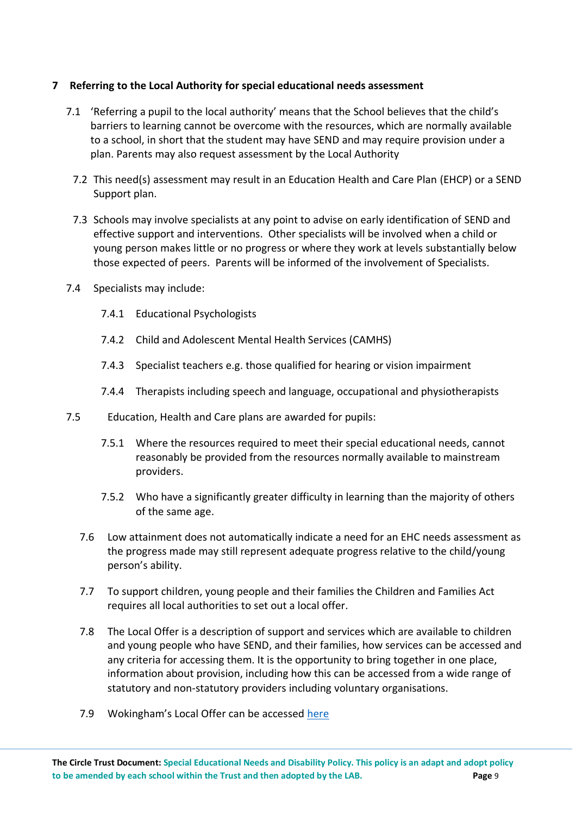## **7 Referring to the Local Authority for special educational needs assessment**

- 7.1 'Referring a pupil to the local authority' means that the School believes that the child's barriers to learning cannot be overcome with the resources, which are normally available to a school, in short that the student may have SEND and may require provision under a plan. Parents may also request assessment by the Local Authority
	- 7.2 This need(s) assessment may result in an Education Health and Care Plan (EHCP) or a SEND Support plan.
	- 7.3 Schools may involve specialists at any point to advise on early identification of SEND and effective support and interventions. Other specialists will be involved when a child or young person makes little or no progress or where they work at levels substantially below those expected of peers. Parents will be informed of the involvement of Specialists.
- 7.4 Specialists may include:
	- 7.4.1 Educational Psychologists
	- 7.4.2 Child and Adolescent Mental Health Services (CAMHS)
	- 7.4.3 Specialist teachers e.g. those qualified for hearing or vision impairment
	- 7.4.4 Therapists including speech and language, occupational and physiotherapists
- 7.5 Education, Health and Care plans are awarded for pupils:
	- 7.5.1 Where the resources required to meet their special educational needs, cannot reasonably be provided from the resources normally available to mainstream providers.
	- 7.5.2 Who have a significantly greater difficulty in learning than the majority of others of the same age.
	- 7.6 Low attainment does not automatically indicate a need for an EHC needs assessment as the progress made may still represent adequate progress relative to the child/young person's ability.
	- 7.7 To support children, young people and their families the Children and Families Act requires all local authorities to set out a local offer.
	- 7.8 The Local Offer is a description of support and services which are available to children and young people who have SEND, and their families, how services can be accessed and any criteria for accessing them. It is the opportunity to bring together in one place, information about provision, including how this can be accessed from a wide range of statutory and non-statutory providers including voluntary organisations.
	- 7.9 Wokingham's Local Offer can be accessed here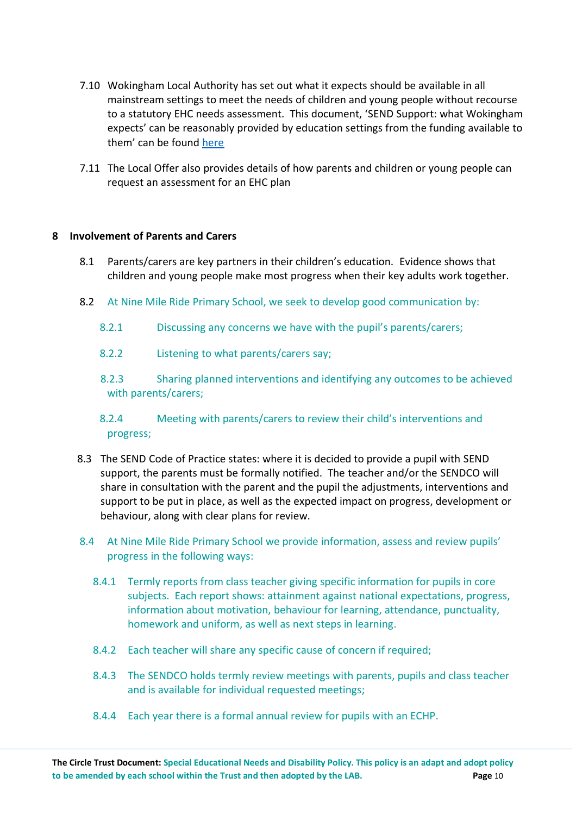- 7.10 Wokingham Local Authority has set out what it expects should be available in all mainstream settings to meet the needs of children and young people without recourse to a statutory EHC needs assessment. This document, 'SEND Support: what Wokingham expects' can be reasonably provided by education settings from the funding available to them' can be found [here](https://www.wokingham.gov.uk/council-and-meetings/open-data/plans-policies-and-strategies/?assetdet91f252ff-550d-4cfa-a838-92ef2cb5f83c=448933&categoryesctl91f252ff-550d-4cfa-a838-92ef2cb5f83c=10207&p=3)
- 7.11 The Local Offer also provides details of how parents and children or young people can request an assessment for an EHC plan

### **8 Involvement of Parents and Carers**

- 8.1 Parents/carers are key partners in their children's education. Evidence shows that children and young people make most progress when their key adults work together.
- 8.2 At Nine Mile Ride Primary School, we seek to develop good communication by:
	- 8.2.1 Discussing any concerns we have with the pupil's parents/carers;
	- 8.2.2 Listening to what parents/carers say;
	- 8.2.3 Sharing planned interventions and identifying any outcomes to be achieved with parents/carers;

# 8.2.4 Meeting with parents/carers to review their child's interventions and progress;

- 8.3 The SEND Code of Practice states: where it is decided to provide a pupil with SEND support, the parents must be formally notified. The teacher and/or the SENDCO will share in consultation with the parent and the pupil the adjustments, interventions and support to be put in place, as well as the expected impact on progress, development or behaviour, along with clear plans for review.
- 8.4 At Nine Mile Ride Primary School we provide information, assess and review pupils' progress in the following ways:
	- 8.4.1 Termly reports from class teacher giving specific information for pupils in core subjects. Each report shows: attainment against national expectations, progress, information about motivation, behaviour for learning, attendance, punctuality, homework and uniform, as well as next steps in learning.
	- 8.4.2 Each teacher will share any specific cause of concern if required;
	- 8.4.3 The SENDCO holds termly review meetings with parents, pupils and class teacher and is available for individual requested meetings;
	- 8.4.4 Each year there is a formal annual review for pupils with an ECHP.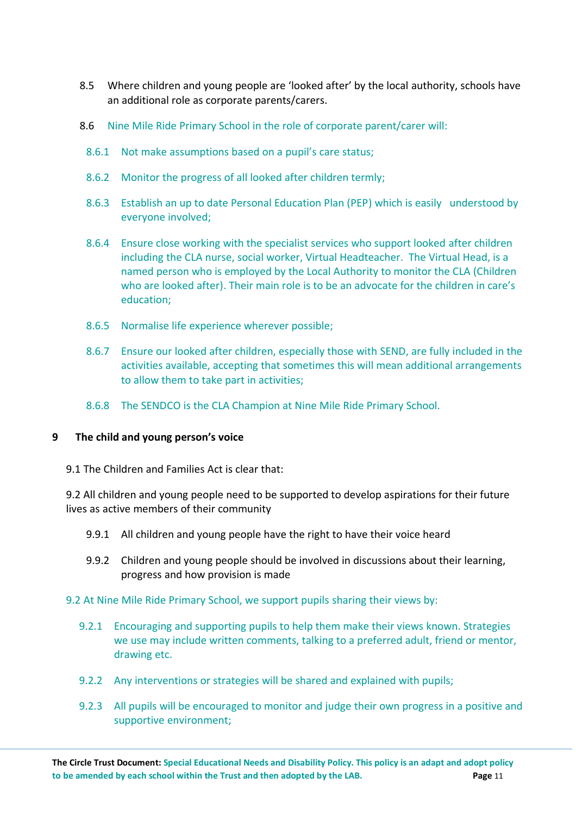- 8.5 Where children and young people are 'looked after' by the local authority, schools have an additional role as corporate parents/carers.
- 8.6 Nine Mile Ride Primary School in the role of corporate parent/carer will:
	- 8.6.1 Not make assumptions based on a pupil's care status;
	- 8.6.2 Monitor the progress of all looked after children termly;
	- 8.6.3 Establish an up to date Personal Education Plan (PEP) which is easily understood by everyone involved;
	- 8.6.4 Ensure close working with the specialist services who support looked after children including the CLA nurse, social worker, Virtual Headteacher. The Virtual Head, is a named person who is employed by the Local Authority to monitor the CLA (Children who are looked after). Their main role is to be an advocate for the children in care's education;
	- 8.6.5 Normalise life experience wherever possible;
	- 8.6.7 Ensure our looked after children, especially those with SEND, are fully included in the activities available, accepting that sometimes this will mean additional arrangements to allow them to take part in activities;
	- 8.6.8 The SENDCO is the CLA Champion at Nine Mile Ride Primary School.

#### **9 The child and young person's voice**

9.1 The Children and Families Act is clear that:

9.2 All children and young people need to be supported to develop aspirations for their future lives as active members of their community

- 9.9.1 All children and young people have the right to have their voice heard
- 9.9.2 Children and young people should be involved in discussions about their learning, progress and how provision is made

#### 9.2 At Nine Mile Ride Primary School, we support pupils sharing their views by:

- 9.2.1 Encouraging and supporting pupils to help them make their views known. Strategies we use may include written comments, talking to a preferred adult, friend or mentor, drawing etc.
- 9.2.2 Any interventions or strategies will be shared and explained with pupils;
- 9.2.3 All pupils will be encouraged to monitor and judge their own progress in a positive and supportive environment;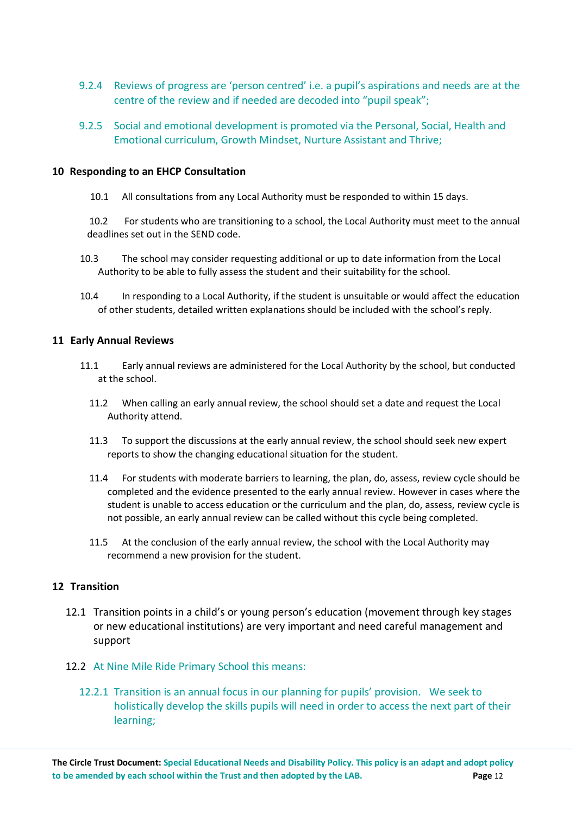- 9.2.4 Reviews of progress are 'person centred' i.e. a pupil's aspirations and needs are at the centre of the review and if needed are decoded into "pupil speak";
- 9.2.5 Social and emotional development is promoted via the Personal, Social, Health and Emotional curriculum, Growth Mindset, Nurture Assistant and Thrive;

#### **10 Responding to an EHCP Consultation**

10.1 All consultations from any Local Authority must be responded to within 15 days.

10.2 For students who are transitioning to a school, the Local Authority must meet to the annual deadlines set out in the SEND code.

- 10.3 The school may consider requesting additional or up to date information from the Local Authority to be able to fully assess the student and their suitability for the school.
- 10.4 In responding to a Local Authority, if the student is unsuitable or would affect the education of other students, detailed written explanations should be included with the school's reply.

#### **11 Early Annual Reviews**

- 11.1 Early annual reviews are administered for the Local Authority by the school, but conducted at the school.
	- 11.2 When calling an early annual review, the school should set a date and request the Local Authority attend.
	- 11.3 To support the discussions at the early annual review, the school should seek new expert reports to show the changing educational situation for the student.
	- 11.4 For students with moderate barriers to learning, the plan, do, assess, review cycle should be completed and the evidence presented to the early annual review. However in cases where the student is unable to access education or the curriculum and the plan, do, assess, review cycle is not possible, an early annual review can be called without this cycle being completed.
	- 11.5 At the conclusion of the early annual review, the school with the Local Authority may recommend a new provision for the student.

#### **12 Transition**

- 12.1 Transition points in a child's or young person's education (movement through key stages or new educational institutions) are very important and need careful management and support
- 12.2 At Nine Mile Ride Primary School this means:
	- 12.2.1 Transition is an annual focus in our planning for pupils' provision. We seek to holistically develop the skills pupils will need in order to access the next part of their learning;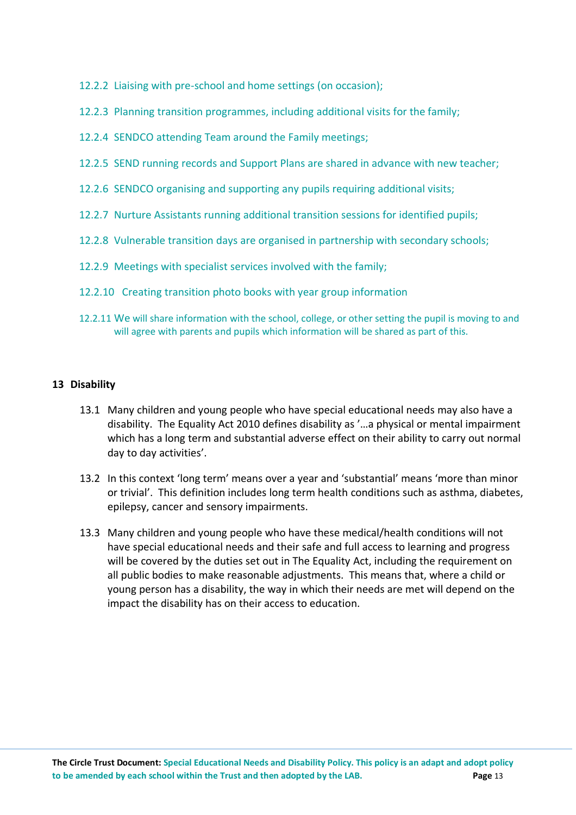- 12.2.2 Liaising with pre-school and home settings (on occasion);
- 12.2.3 Planning transition programmes, including additional visits for the family;
- 12.2.4 SENDCO attending Team around the Family meetings;
- 12.2.5 SEND running records and Support Plans are shared in advance with new teacher;
- 12.2.6 SENDCO organising and supporting any pupils requiring additional visits;
- 12.2.7 Nurture Assistants running additional transition sessions for identified pupils;
- 12.2.8 Vulnerable transition days are organised in partnership with secondary schools;
- 12.2.9 Meetings with specialist services involved with the family;
- 12.2.10 Creating transition photo books with year group information
- 12.2.11 We will share information with the school, college, or other setting the pupil is moving to and will agree with parents and pupils which information will be shared as part of this.

### **13 Disability**

- 13.1 Many children and young people who have special educational needs may also have a disability. The Equality Act 2010 defines disability as '…a physical or mental impairment which has a long term and substantial adverse effect on their ability to carry out normal day to day activities'.
- 13.2 In this context 'long term' means over a year and 'substantial' means 'more than minor or trivial'. This definition includes long term health conditions such as asthma, diabetes, epilepsy, cancer and sensory impairments.
- 13.3 Many children and young people who have these medical/health conditions will not have special educational needs and their safe and full access to learning and progress will be covered by the duties set out in The Equality Act, including the requirement on all public bodies to make reasonable adjustments. This means that, where a child or young person has a disability, the way in which their needs are met will depend on the impact the disability has on their access to education.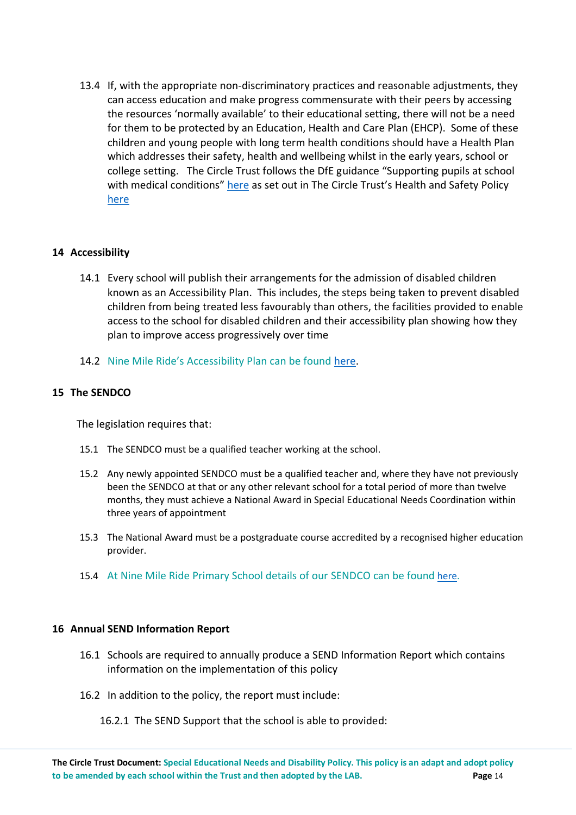13.4 If, with the appropriate non-discriminatory practices and reasonable adjustments, they can access education and make progress commensurate with their peers by accessing the resources 'normally available' to their educational setting, there will not be a need for them to be protected by an Education, Health and Care Plan (EHCP). Some of these children and young people with long term health conditions should have a Health Plan which addresses their safety, health and wellbeing whilst in the early years, school or college setting. The Circle Trust follows the DfE guidance "Supporting pupils at school with medical conditions" [here](https://www.gov.uk/government/publications/supporting-pupils-at-school-with-medical-conditions) as set out in The Circle Trust's Health and Safety Policy [here](https://thecircletrust.sharepoint.com/:w:/g/EWke-uOCsJ9GqZAY_uNGYY4BSQQmK7PKIPETbzGCD-KvSQ?e=OBMWRp)

#### **14 Accessibility**

- 14.1 Every school will publish their arrangements for the admission of disabled children known as an Accessibility Plan. This includes, the steps being taken to prevent disabled children from being treated less favourably than others, the facilities provided to enable access to the school for disabled children and their accessibility plan showing how they plan to improve access progressively over time
- 14.2 Nine Mile Ride's Accessibility Plan can be found [here.](http://www.ninemileride.co.uk/wp-content/uploads/2019/01/Accessibility-Plan.pdf)

#### **15 The SENDCO**

The legislation requires that:

- 15.1 The SENDCO must be a qualified teacher working at the school.
- 15.2 Any newly appointed SENDCO must be a qualified teacher and, where they have not previously been the SENDCO at that or any other relevant school for a total period of more than twelve months, they must achieve a National Award in Special Educational Needs Coordination within three years of appointment
- 15.3 The National Award must be a postgraduate course accredited by a recognised higher education provider.
- 15.4 At Nine Mile Ride Primary School details of our SENDCO can be found [here.](https://www.ninemileride.co.uk/parents/learning-support-send/)

#### **16 Annual SEND Information Report**

- 16.1 Schools are required to annually produce a SEND Information Report which contains information on the implementation of this policy
- 16.2 In addition to the policy, the report must include:

#### 16.2.1 The SEND Support that the school is able to provided: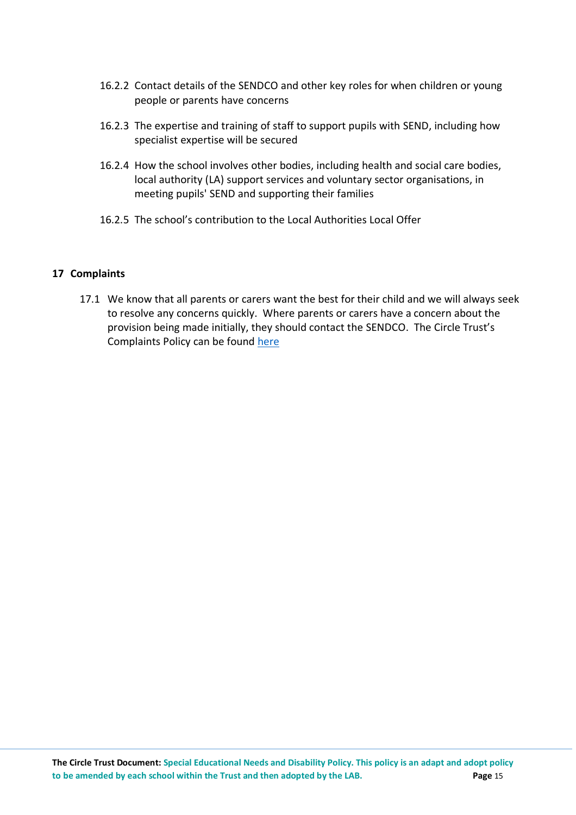- 16.2.2 Contact details of the SENDCO and other key roles for when children or young people or parents have concerns
- 16.2.3 The expertise and training of staff to support pupils with SEND, including how specialist expertise will be secured
- 16.2.4 How the school involves other bodies, including health and social care bodies, local authority (LA) support services and voluntary sector organisations, in meeting pupils' SEND and supporting their families
- 16.2.5 The school's contribution to the Local Authorities Local Offer

## **17 Complaints**

17.1 We know that all parents or carers want the best for their child and we will always seek to resolve any concerns quickly. Where parents or carers have a concern about the provision being made initially, they should contact the SENDCO. The Circle Trust's Complaints Policy can be found [here](https://thecircletrust.sharepoint.com/:w:/g/EUFisw4e4ohHkAjV-KBYE4QBOjccnZk7L6nlIHFdH6Ni4g?e=j9Hk0u)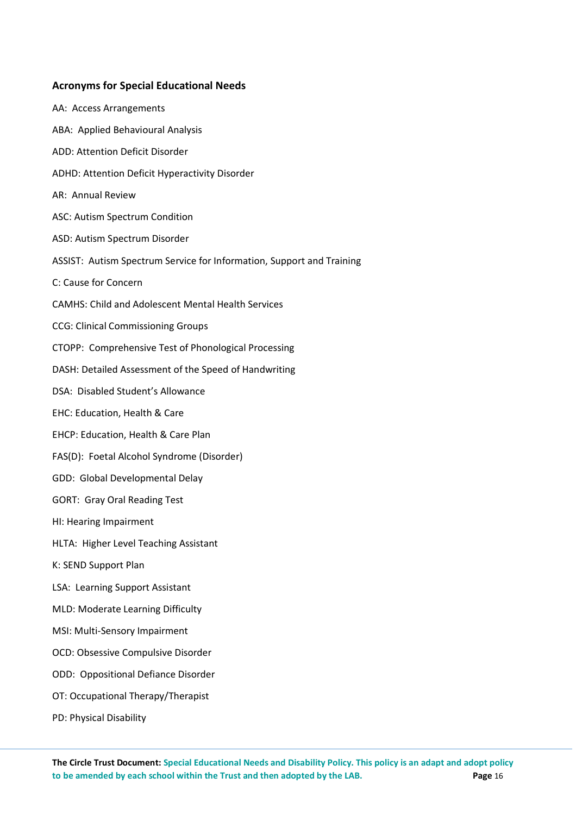# **Acronyms for Special Educational Needs**

| AA: Access Arrangements                                               |
|-----------------------------------------------------------------------|
| ABA: Applied Behavioural Analysis                                     |
| ADD: Attention Deficit Disorder                                       |
| ADHD: Attention Deficit Hyperactivity Disorder                        |
| AR: Annual Review                                                     |
| ASC: Autism Spectrum Condition                                        |
| ASD: Autism Spectrum Disorder                                         |
| ASSIST: Autism Spectrum Service for Information, Support and Training |
| C: Cause for Concern                                                  |
| <b>CAMHS: Child and Adolescent Mental Health Services</b>             |
| <b>CCG: Clinical Commissioning Groups</b>                             |
| CTOPP: Comprehensive Test of Phonological Processing                  |
| DASH: Detailed Assessment of the Speed of Handwriting                 |
| DSA: Disabled Student's Allowance                                     |
| EHC: Education, Health & Care                                         |
| EHCP: Education, Health & Care Plan                                   |
| FAS(D): Foetal Alcohol Syndrome (Disorder)                            |
| GDD: Global Developmental Delay                                       |
| <b>GORT: Gray Oral Reading Test</b>                                   |
| HI: Hearing Impairment                                                |
| HLTA: Higher Level Teaching Assistant                                 |
| K: SEND Support Plan                                                  |
| LSA: Learning Support Assistant                                       |
| MLD: Moderate Learning Difficulty                                     |
| MSI: Multi-Sensory Impairment                                         |
| OCD: Obsessive Compulsive Disorder                                    |
| ODD: Oppositional Defiance Disorder                                   |
| OT: Occupational Therapy/Therapist                                    |
| PD: Physical Disability                                               |